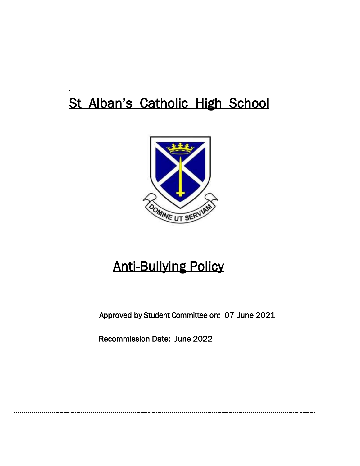# St Alban's Catholic High School



# Anti-Bullying Policy

Approved by Student Committee on: 07 June 2021

Recommission Date: June 2022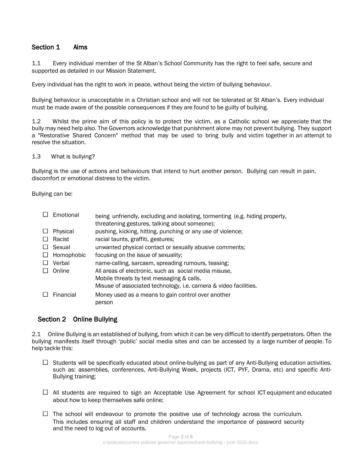### Section 1 Aims

1.1 Every individual member of the St Alban's School Community has the right to feel safe, secure and supported as detailed in our Mission Statement.

Every individual has the right to work in peace, without being the victim of bullying behaviour.

Bullying behaviour is unacceptable in a Christian school and will not be tolerated at St Alban's. Every individual must be made aware of the possible consequences if they are found to be guilty of bullying.

1.2 Whilst the prime aim of this policy is to protect the victim, as a Catholic school we appreciate that the bully may need help also. The Governors acknowledge that punishment alone may not prevent bullying. They support a "Restorative Shared Concern" method that may be used to bring bully and victim together in an attempt to resolve the situation.

#### 1.3 What is bullying?

Bullying is the use of actions and behaviours that intend to hurt another person. Bullying can result in pain, discomfort or emotional distress to the victim.

Bullying can be:

|         | Emotional  | being unfriendly, excluding and isolating, tormenting (e.g. hiding property,<br>threatening gestures, talking about someone); |
|---------|------------|-------------------------------------------------------------------------------------------------------------------------------|
|         | Physical   | pushing, kicking, hitting, punching or any use of violence;                                                                   |
|         | Racist     | racial taunts, graffiti, gestures;                                                                                            |
|         | Sexual     | unwanted physical contact or sexually abusive comments;                                                                       |
| $\perp$ | Homophobic | focusing on the issue of sexuality;                                                                                           |
|         | Verbal     | name-calling, sarcasm, spreading rumours, teasing;                                                                            |
|         | Online     | All areas of electronic, such as social media misuse,                                                                         |
|         |            | Mobile threats by text messaging & calls,                                                                                     |
|         |            | Misuse of associated technology, i.e. camera & video facilities.                                                              |
|         | Financial  | Money used as a means to gain control over another<br>person                                                                  |

### Section 2 Online Bullying

2.1 Online Bullying is an established of bullying, from which it can be very difficult to identify perpetrators. Often the bullying manifests itself through 'public' social media sites and can be accessed by a large number of people. To help tackle this:

- $\Box$  Students will be specifically educated about online-bullying as part of any Anti-Bullying education activities, such as: assemblies, conferences, Anti-Bullying Week, projects (ICT, PYF, Drama, etc) and specific Anti-Bullying training;
- $\Box$  All students are required to sign an Acceptable Use Agreement for school ICT equipment and educated about how to keep themselves safe online;
- $\Box$  The school will endeavour to promote the positive use of technology across the curriculum. This includes ensuring all staff and children understand the importance of password security and the need to log out of accounts.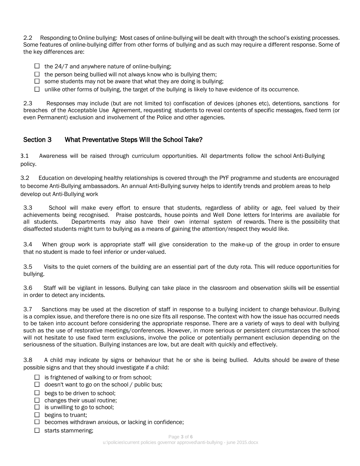2.2 Responding to Online bullying: Most cases of online-bullying will be dealt with through the school's existing processes. Some features of online-bullying differ from other forms of bullying and as such may require a different response. Some of the key differences are:

- $\Box$  the 24/7 and anywhere nature of online-bullying;
- $\Box$  the person being bullied will not always know who is bullying them;
- $\Box$  some students may not be aware that what they are doing is bullying;
- $\Box$  unlike other forms of bullying, the target of the bullying is likely to have evidence of its occurrence.

2.3 Responses may include (but are not limited to) confiscation of devices (phones etc), detentions, sanctions for breaches of the Acceptable Use Agreement, requesting students to reveal contents of specific messages, fixed term (or even Permanent) exclusion and involvement of the Police and other agencies.

# Section 3 What Preventative Steps Will the School Take?

3.1 Awareness will be raised through curriculum opportunities. All departments follow the school Anti-Bullying policy.

3.2 Education on developing healthy relationships is covered through the PYF programme and students are encouraged to become Anti-Bullying ambassadors. An annual Anti-Bullying survey helps to identify trends and problem areas to help develop out Anti-Bullying work

3.3 School will make every effort to ensure that students, regardless of ability or age, feel valued by their achievements being recognised. Praise postcards, house points and Well Done letters for Interims are available for all students. Departments may also have their own internal system of rewards. There is the possibility that disaffected students might turn to bullying as a means of gaining the attention/respect they would like.

3.4 When group work is appropriate staff will give consideration to the make-up of the group in order to ensure that no student is made to feel inferior or under-valued.

3.5 Visits to the quiet corners of the building are an essential part of the duty rota. This will reduce opportunities for bullying.

3.6 Staff will be vigilant in lessons. Bullying can take place in the classroom and observation skills will be essential in order to detect any incidents.

3.7 Sanctions may be used at the discretion of staff in response to a bullying incident to change behaviour. Bullying is a complex issue, and therefore there is no one size fits all response. The context with how the issue has occurred needs to be taken into account before considering the appropriate response. There are a variety of ways to deal with bullying such as the use of restorative meetings/conferences. However, in more serious or persistent circumstances the school will not hesitate to use fixed term exclusions, involve the police or potentially permanent exclusion depending on the seriousness of the situation. Bullying instances are low, but are dealt with quickly and effectively.

3.8 A child may indicate by signs or behaviour that he or she is being bullied. Adults should be aware of these possible signs and that they should investigate if a child:

- $\Box$  is frightened of walking to or from school;
- $\Box$  doesn't want to go on the school / public bus;
- $\Box$  begs to be driven to school;
- $\Box$  changes their usual routine;
- $\Box$  is unwilling to go to school;
- $\Box$  begins to truant;
- $\Box$  becomes withdrawn anxious, or lacking in confidence;
- $\Box$  starts stammering;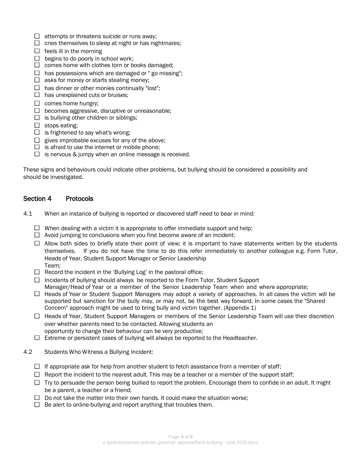- $\Box$  attempts or threatens suicide or runs away;
- $\Box$  cries themselves to sleep at night or has nightmares;
- $\Box$  feels ill in the morning
- $\Box$  begins to do poorly in school work;
- $\Box$  comes home with clothes torn or books damaged;
- $\Box$  has possessions which are damaged or " go missing";
- $\Box$  asks for money or starts stealing money;
- $\Box$  has dinner or other monies continually "lost";
- $\Box$  has unexplained cuts or bruises;
- $\square$  comes home hungry;
- $\Box$  becomes aggressive, disruptive or unreasonable;
- $\Box$  is bullying other children or siblings;
- $\Box$  stops eating;
- $\Box$  is frightened to say what's wrong;
- $\Box$  gives improbable excuses for any of the above:
- $\Box$  is afraid to use the internet or mobile phone;
- $\Box$  is nervous & jumpy when an online message is received.

These signs and behaviours could indicate other problems, but bullying should be considered a possibility and should be investigated.

# Section 4 Protocols

- 4.1 When an instance of bullying is reported or discovered staff need to bear in mind:
	- $\Box$  When dealing with a victim it is appropriate to offer immediate support and help;
	- $\Box$  Avoid jumping to conclusions when you first become aware of an incident;
	- $\Box$  Allow both sides to briefly state their point of view; it is important to have statements written by the students themselves. If you do not have the time to do this refer immediately to another colleague e.g. Form Tutor, Heads of Year, Student Support Manager or Senior Leadership Team;
	- $\Box$  Record the incident in the 'Bullying Log' in the pastoral office;
	- $\Box$  Incidents of bullying should always be reported to the Form Tutor, Student Support Manager/Head of Year or a member of the Senior Leadership Team when and where appropriate;
	- □ Heads of Year or Student Support Managers may adopt a variety of approaches. In all cases the victim will be supported but sanction for the bully may, or may not, be the best way forward. In some cases the "Shared Concern" approach might be used to bring bully and victim together. (Appendix 1)
	- $\Box$  Heads of Year, Student Support Managers or members of the Senior Leadership Team will use their discretion over whether parents need to be contacted. Allowing students an opportunity to change their behaviour can be very productive;
	- $\Box$  Extreme or persistent cases of bullying will always be reported to the Headteacher.
- 4.2 Students Who Witness a Bullying Incident:
	- $\Box$  If appropriate ask for help from another student to fetch assistance from a member of staff;
	- $\Box$  Report the incident to the nearest adult. This may be a teacher or a member of the support staff;
	- $\Box$  Try to persuade the person being bullied to report the problem. Encourage them to confide in an adult. It might be a parent, a teacher or a friend;
	- $\Box$  Do not take the matter into their own hands. It could make the situation worse:
	- $\Box$  Be alert to online-bullying and report anything that troubles them.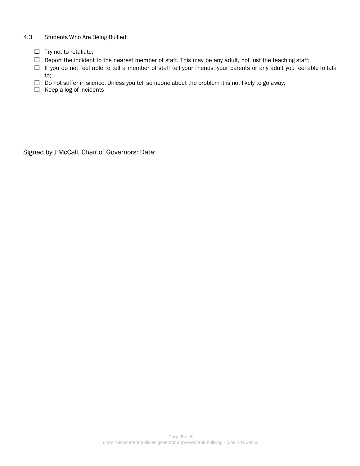#### 4.3 Students Who Are Being Bullied:

- $\Box$  Try not to retaliate;
- $\Box$  Report the incident to the nearest member of staff. This may be any adult, not just the teaching staff;
- $\Box$  If you do not feel able to tell a member of staff tell your friends, your parents or any adult you feel able to talk to;
- $\Box$  Do not suffer in silence. Unless you tell someone about the problem it is not likely to go away;
- $\Box$  Keep a log of incidents

Signed by J McCall, Chair of Governors: Date: